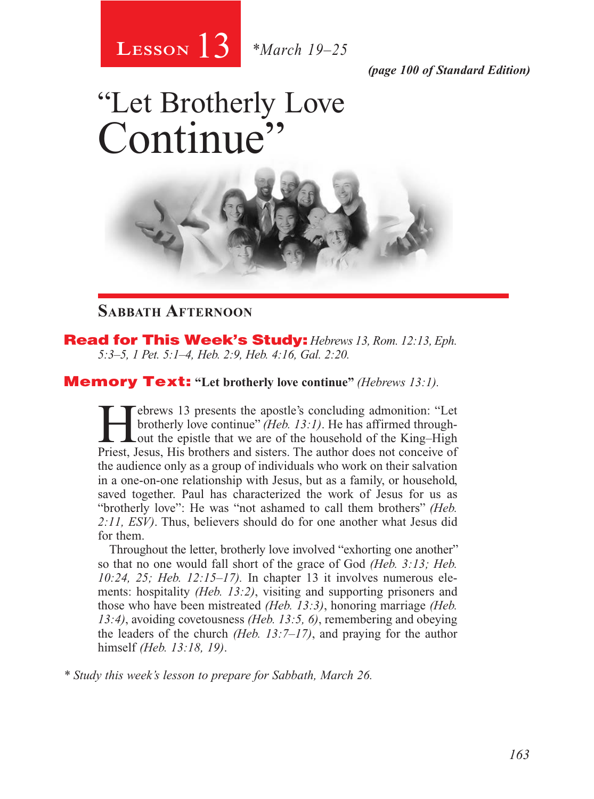13 **Lesson** *\*March 19–25*

*(page 100 of Standard Edition)*

# "Let Brotherly Love Continue



### **Sabbath Afternoon**

Read for This Week's Study: *Hebrews 13, Rom. 12:13, Eph. 5:3–5, 1 Pet. 5:1–4, Heb. 2:9, Heb. 4:16, Gal. 2:20.*

### Memory Text: **"Let brotherly love continue"** *(Hebrews 13:1).*

Febrews 13 presents the apostle's concluding admonition: "Let brotherly love continue" (*Heb. 13:1*). He has affirmed through-<br>out the epistle that we are of the household of the King–High<br>Priest Jesus His brothers and sis brotherly love continue" *(Heb. 13:1)*. He has affirmed through-Priest, Jesus, His brothers and sisters. The author does not conceive of the audience only as a group of individuals who work on their salvation in a one-on-one relationship with Jesus, but as a family, or household, saved together. Paul has characterized the work of Jesus for us as "brotherly love": He was "not ashamed to call them brothers" *(Heb. 2:11, ESV)*. Thus, believers should do for one another what Jesus did for them.

Throughout the letter, brotherly love involved "exhorting one another" so that no one would fall short of the grace of God *(Heb. 3:13; Heb. 10:24, 25; Heb. 12:15–17).* In chapter 13 it involves numerous elements: hospitality *(Heb. 13:2)*, visiting and supporting prisoners and those who have been mistreated *(Heb. 13:3)*, honoring marriage *(Heb. 13:4)*, avoiding covetousness *(Heb. 13:5, 6)*, remembering and obeying the leaders of the church *(Heb. 13:7–17)*, and praying for the author himself *(Heb. 13:18, 19)*.

*\* Study this week's lesson to prepare for Sabbath, March 26.*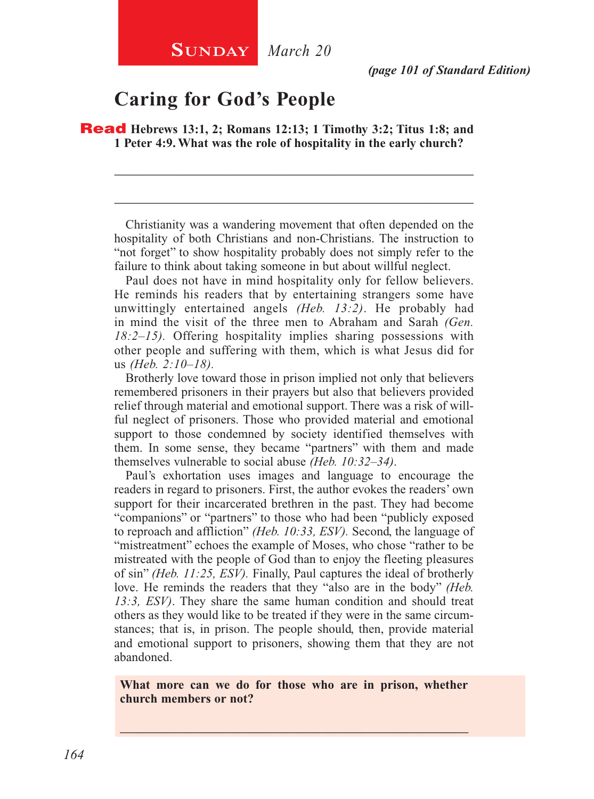## **Caring for God's People**

Read **Hebrews 13:1, 2; Romans 12:13; 1 Timothy 3:2; Titus 1:8; and 1 Peter 4:9. What was the role of hospitality in the early church?**

Christianity was a wandering movement that often depended on the hospitality of both Christians and non-Christians. The instruction to "not forget" to show hospitality probably does not simply refer to the failure to think about taking someone in but about willful neglect.

\_\_\_\_\_\_\_\_\_\_\_\_\_\_\_\_\_\_\_\_\_\_\_\_\_\_\_\_\_\_\_\_\_\_\_\_\_\_\_\_\_\_\_\_\_\_\_\_\_\_\_\_

\_\_\_\_\_\_\_\_\_\_\_\_\_\_\_\_\_\_\_\_\_\_\_\_\_\_\_\_\_\_\_\_\_\_\_\_\_\_\_\_\_\_\_\_\_\_\_\_\_\_\_\_

Paul does not have in mind hospitality only for fellow believers. He reminds his readers that by entertaining strangers some have unwittingly entertained angels *(Heb. 13:2)*. He probably had in mind the visit of the three men to Abraham and Sarah *(Gen. 18:2–15).* Offering hospitality implies sharing possessions with other people and suffering with them, which is what Jesus did for us *(Heb. 2:10–18).*

Brotherly love toward those in prison implied not only that believers remembered prisoners in their prayers but also that believers provided relief through material and emotional support. There was a risk of willful neglect of prisoners. Those who provided material and emotional support to those condemned by society identified themselves with them. In some sense, they became "partners" with them and made themselves vulnerable to social abuse *(Heb. 10:32–34)*.

Paul's exhortation uses images and language to encourage the readers in regard to prisoners. First, the author evokes the readers' own support for their incarcerated brethren in the past. They had become "companions" or "partners" to those who had been "publicly exposed to reproach and affliction" *(Heb. 10:33, ESV).* Second, the language of "mistreatment" echoes the example of Moses, who chose "rather to be mistreated with the people of God than to enjoy the fleeting pleasures of sin" *(Heb. 11:25, ESV).* Finally, Paul captures the ideal of brotherly love. He reminds the readers that they "also are in the body" *(Heb. 13:3, ESV)*. They share the same human condition and should treat others as they would like to be treated if they were in the same circumstances; that is, in prison. The people should, then, provide material and emotional support to prisoners, showing them that they are not abandoned.

**What more can we do for those who are in prison, whether church members or not?**

\_\_\_\_\_\_\_\_\_\_\_\_\_\_\_\_\_\_\_\_\_\_\_\_\_\_\_\_\_\_\_\_\_\_\_\_\_\_\_\_\_\_\_\_\_\_\_\_\_\_\_\_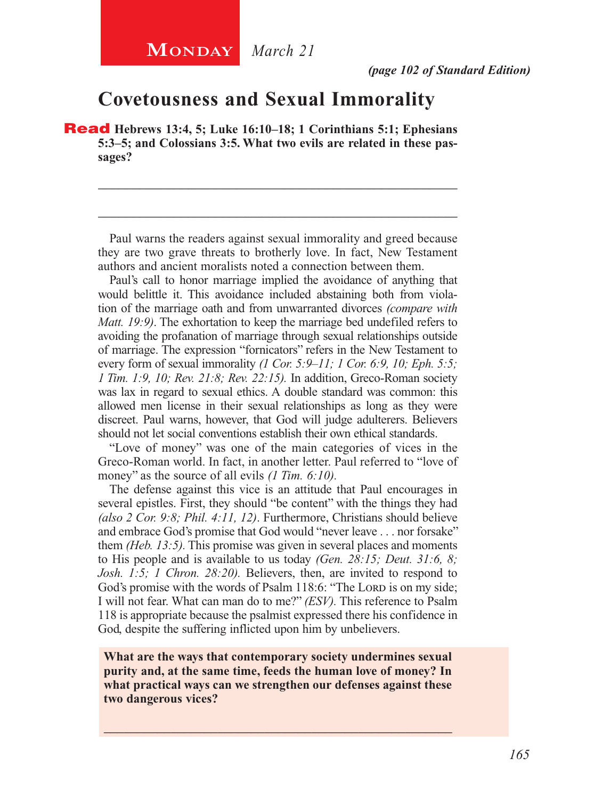## **Covetousness and Sexual Immorality**

Read **Hebrews 13:4, 5; Luke 16:10–18; 1 Corinthians 5:1; Ephesians 5:3–5; and Colossians 3:5. What two evils are related in these passages?**

Paul warns the readers against sexual immorality and greed because they are two grave threats to brotherly love. In fact, New Testament authors and ancient moralists noted a connection between them.

\_\_\_\_\_\_\_\_\_\_\_\_\_\_\_\_\_\_\_\_\_\_\_\_\_\_\_\_\_\_\_\_\_\_\_\_\_\_\_\_\_\_\_\_\_\_\_\_\_\_\_\_

\_\_\_\_\_\_\_\_\_\_\_\_\_\_\_\_\_\_\_\_\_\_\_\_\_\_\_\_\_\_\_\_\_\_\_\_\_\_\_\_\_\_\_\_\_\_\_\_\_\_\_\_

Paul's call to honor marriage implied the avoidance of anything that would belittle it. This avoidance included abstaining both from violation of the marriage oath and from unwarranted divorces *(compare with Matt. 19:9)*. The exhortation to keep the marriage bed undefiled refers to avoiding the profanation of marriage through sexual relationships outside of marriage. The expression "fornicators" refers in the New Testament to every form of sexual immorality *(1 Cor. 5:9–11; 1 Cor. 6:9, 10; Eph. 5:5; 1 Tim. 1:9, 10; Rev. 21:8; Rev. 22:15).* In addition, Greco-Roman society was lax in regard to sexual ethics. A double standard was common: this allowed men license in their sexual relationships as long as they were discreet. Paul warns, however, that God will judge adulterers. Believers should not let social conventions establish their own ethical standards.

"Love of money" was one of the main categories of vices in the Greco-Roman world. In fact, in another letter. Paul referred to "love of money" as the source of all evils *(1 Tim. 6:10)*.

The defense against this vice is an attitude that Paul encourages in several epistles. First, they should "be content" with the things they had *(also 2 Cor. 9:8; Phil. 4:11, 12)*. Furthermore, Christians should believe and embrace God's promise that God would "never leave . . . nor forsake" them *(Heb. 13:5).* This promise was given in several places and moments to His people and is available to us today *(Gen. 28:15; Deut. 31:6, 8; Josh. 1:5; 1 Chron. 28:20).* Believers, then, are invited to respond to God's promise with the words of Psalm 118:6: "The Lord is on my side; I will not fear. What can man do to me?" *(ESV).* This reference to Psalm 118 is appropriate because the psalmist expressed there his confidence in God, despite the suffering inflicted upon him by unbelievers.

**What are the ways that contemporary society undermines sexual purity and, at the same time, feeds the human love of money? In what practical ways can we strengthen our defenses against these two dangerous vices?**

\_\_\_\_\_\_\_\_\_\_\_\_\_\_\_\_\_\_\_\_\_\_\_\_\_\_\_\_\_\_\_\_\_\_\_\_\_\_\_\_\_\_\_\_\_\_\_\_\_\_\_\_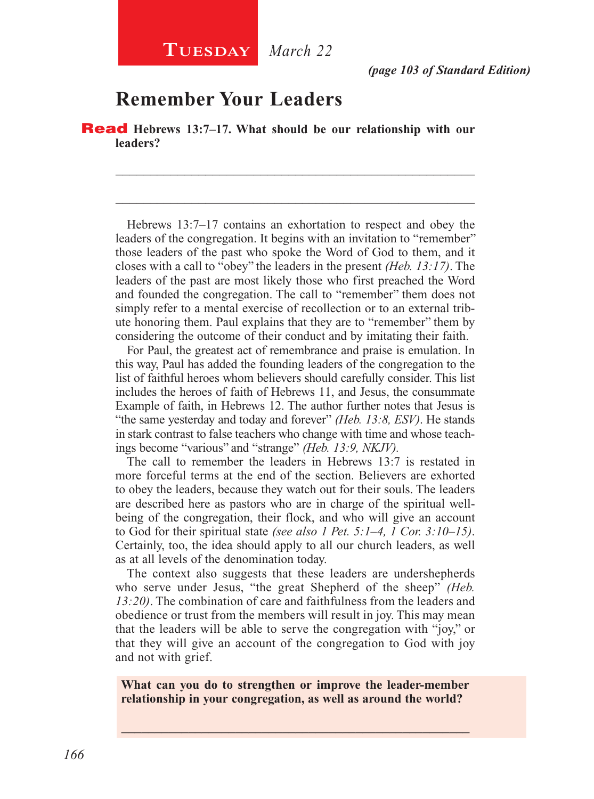## **Remember Your Leaders**

Read **Hebrews 13:7–17. What should be our relationship with our leaders?**

Hebrews 13:7–17 contains an exhortation to respect and obey the leaders of the congregation. It begins with an invitation to "remember" those leaders of the past who spoke the Word of God to them, and it closes with a call to "obey" the leaders in the present *(Heb. 13:17)*. The leaders of the past are most likely those who first preached the Word and founded the congregation. The call to "remember" them does not simply refer to a mental exercise of recollection or to an external tribute honoring them. Paul explains that they are to "remember" them by considering the outcome of their conduct and by imitating their faith.

\_\_\_\_\_\_\_\_\_\_\_\_\_\_\_\_\_\_\_\_\_\_\_\_\_\_\_\_\_\_\_\_\_\_\_\_\_\_\_\_\_\_\_\_\_\_\_\_\_\_\_\_

\_\_\_\_\_\_\_\_\_\_\_\_\_\_\_\_\_\_\_\_\_\_\_\_\_\_\_\_\_\_\_\_\_\_\_\_\_\_\_\_\_\_\_\_\_\_\_\_\_\_\_\_

For Paul, the greatest act of remembrance and praise is emulation. In this way, Paul has added the founding leaders of the congregation to the list of faithful heroes whom believers should carefully consider. This list includes the heroes of faith of Hebrews 11, and Jesus, the consummate Example of faith, in Hebrews 12. The author further notes that Jesus is "the same yesterday and today and forever" *(Heb. 13:8, ESV)*. He stands in stark contrast to false teachers who change with time and whose teachings become "various" and "strange" *(Heb. 13:9, NKJV).*

The call to remember the leaders in Hebrews 13:7 is restated in more forceful terms at the end of the section. Believers are exhorted to obey the leaders, because they watch out for their souls. The leaders are described here as pastors who are in charge of the spiritual wellbeing of the congregation, their flock, and who will give an account to God for their spiritual state *(see also 1 Pet. 5:1–4, 1 Cor. 3:10–15)*. Certainly, too, the idea should apply to all our church leaders, as well as at all levels of the denomination today.

The context also suggests that these leaders are undershepherds who serve under Jesus, "the great Shepherd of the sheep" *(Heb. 13:20)*. The combination of care and faithfulness from the leaders and obedience or trust from the members will result in joy. This may mean that the leaders will be able to serve the congregation with "joy," or that they will give an account of the congregation to God with joy and not with grief.

**What can you do to strengthen or improve the leader-member relationship in your congregation, as well as around the world?**

\_\_\_\_\_\_\_\_\_\_\_\_\_\_\_\_\_\_\_\_\_\_\_\_\_\_\_\_\_\_\_\_\_\_\_\_\_\_\_\_\_\_\_\_\_\_\_\_\_\_\_\_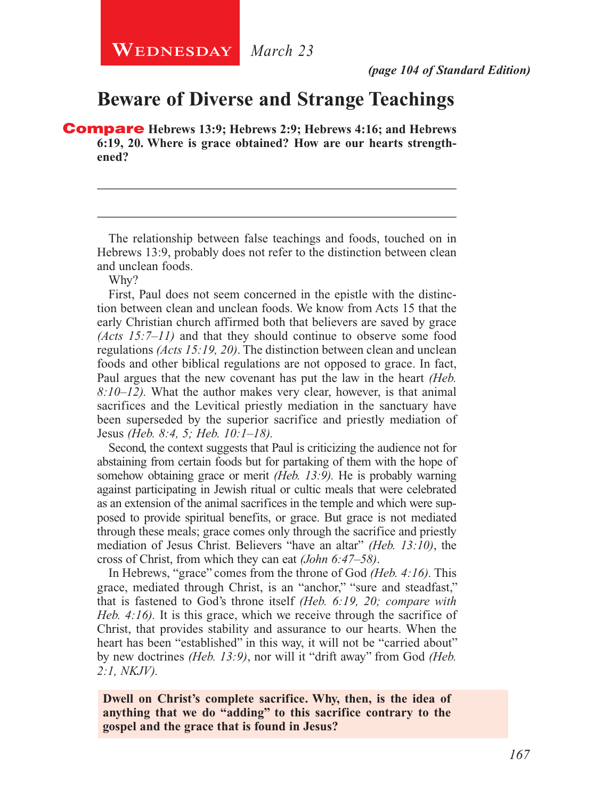## **Beware of Diverse and Strange Teachings**

Compare **Hebrews 13:9; Hebrews 2:9; Hebrews 4:16; and Hebrews 6:19, 20. Where is grace obtained? How are our hearts strengthened?**

The relationship between false teachings and foods, touched on in Hebrews 13:9, probably does not refer to the distinction between clean and unclean foods.

\_\_\_\_\_\_\_\_\_\_\_\_\_\_\_\_\_\_\_\_\_\_\_\_\_\_\_\_\_\_\_\_\_\_\_\_\_\_\_\_\_\_\_\_\_\_\_\_\_\_\_\_

\_\_\_\_\_\_\_\_\_\_\_\_\_\_\_\_\_\_\_\_\_\_\_\_\_\_\_\_\_\_\_\_\_\_\_\_\_\_\_\_\_\_\_\_\_\_\_\_\_\_\_\_

Why?

First, Paul does not seem concerned in the epistle with the distinction between clean and unclean foods. We know from Acts 15 that the early Christian church affirmed both that believers are saved by grace *(Acts 15:7–11)* and that they should continue to observe some food regulations *(Acts 15:19, 20)*. The distinction between clean and unclean foods and other biblical regulations are not opposed to grace. In fact, Paul argues that the new covenant has put the law in the heart *(Heb. 8:10–12).* What the author makes very clear, however, is that animal sacrifices and the Levitical priestly mediation in the sanctuary have been superseded by the superior sacrifice and priestly mediation of Jesus *(Heb. 8:4, 5; Heb. 10:1–18).*

Second, the context suggests that Paul is criticizing the audience not for abstaining from certain foods but for partaking of them with the hope of somehow obtaining grace or merit *(Heb. 13:9).* He is probably warning against participating in Jewish ritual or cultic meals that were celebrated as an extension of the animal sacrifices in the temple and which were supposed to provide spiritual benefits, or grace. But grace is not mediated through these meals; grace comes only through the sacrifice and priestly mediation of Jesus Christ. Believers "have an altar" *(Heb. 13:10)*, the cross of Christ, from which they can eat *(John 6:47–58)*.

In Hebrews, "grace" comes from the throne of God *(Heb. 4:16).* This grace, mediated through Christ, is an "anchor," "sure and steadfast," that is fastened to God's throne itself *(Heb. 6:19, 20; compare with Heb. 4:16).* It is this grace, which we receive through the sacrifice of Christ, that provides stability and assurance to our hearts. When the heart has been "established" in this way, it will not be "carried about" by new doctrines *(Heb. 13:9)*, nor will it "drift away" from God *(Heb. 2:1, NKJV).*

**Dwell on Christ's complete sacrifice. Why, then, is the idea of anything that we do "adding" to this sacrifice contrary to the gospel and the grace that is found in Jesus?**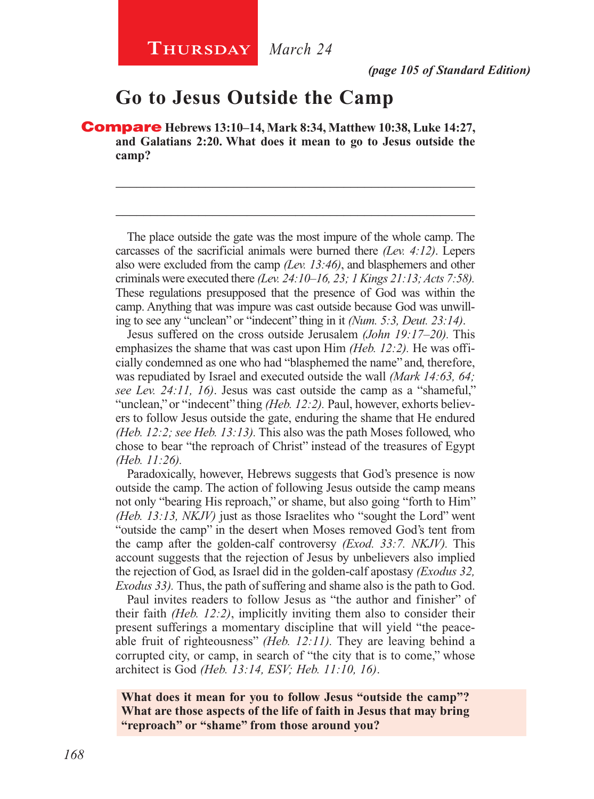## **Go to Jesus Outside the Camp**

Compare **Hebrews 13:10–14, Mark 8:34, Matthew 10:38, Luke 14:27, and Galatians 2:20. What does it mean to go to Jesus outside the camp?**

The place outside the gate was the most impure of the whole camp. The carcasses of the sacrificial animals were burned there *(Lev. 4:12)*. Lepers also were excluded from the camp *(Lev. 13:46)*, and blasphemers and other criminals were executed there *(Lev. 24:10–16, 23; 1 Kings 21:13; Acts 7:58).*  These regulations presupposed that the presence of God was within the camp. Anything that was impure was cast outside because God was unwilling to see any "unclean" or "indecent" thing in it *(Num. 5:3, Deut. 23:14)*.

\_\_\_\_\_\_\_\_\_\_\_\_\_\_\_\_\_\_\_\_\_\_\_\_\_\_\_\_\_\_\_\_\_\_\_\_\_\_\_\_\_\_\_\_\_\_\_\_\_\_\_\_

\_\_\_\_\_\_\_\_\_\_\_\_\_\_\_\_\_\_\_\_\_\_\_\_\_\_\_\_\_\_\_\_\_\_\_\_\_\_\_\_\_\_\_\_\_\_\_\_\_\_\_\_

Jesus suffered on the cross outside Jerusalem *(John 19:17–20).* This emphasizes the shame that was cast upon Him *(Heb. 12:2).* He was officially condemned as one who had "blasphemed the name" and, therefore, was repudiated by Israel and executed outside the wall *(Mark 14:63, 64; see Lev. 24:11, 16)*. Jesus was cast outside the camp as a "shameful," "unclean," or "indecent" thing *(Heb. 12:2)*. Paul, however, exhorts believers to follow Jesus outside the gate, enduring the shame that He endured *(Heb. 12:2; see Heb. 13:13).* This also was the path Moses followed, who chose to bear "the reproach of Christ" instead of the treasures of Egypt *(Heb. 11:26).*

Paradoxically, however, Hebrews suggests that God's presence is now outside the camp. The action of following Jesus outside the camp means not only "bearing His reproach," or shame, but also going "forth to Him" *(Heb. 13:13, NKJV)* just as those Israelites who "sought the Lord" went "outside the camp" in the desert when Moses removed God's tent from the camp after the golden-calf controversy *(Exod. 33:7. NKJV).* This account suggests that the rejection of Jesus by unbelievers also implied the rejection of God, as Israel did in the golden-calf apostasy *(Exodus 32, Exodus 33).* Thus, the path of suffering and shame also is the path to God.

Paul invites readers to follow Jesus as "the author and finisher" of their faith *(Heb. 12:2)*, implicitly inviting them also to consider their present sufferings a momentary discipline that will yield "the peaceable fruit of righteousness" *(Heb. 12:11).* They are leaving behind a corrupted city, or camp, in search of "the city that is to come," whose architect is God *(Heb. 13:14, ESV; Heb. 11:10, 16)*.

**What does it mean for you to follow Jesus "outside the camp"? What are those aspects of the life of faith in Jesus that may bring "reproach" or "shame" from those around you?**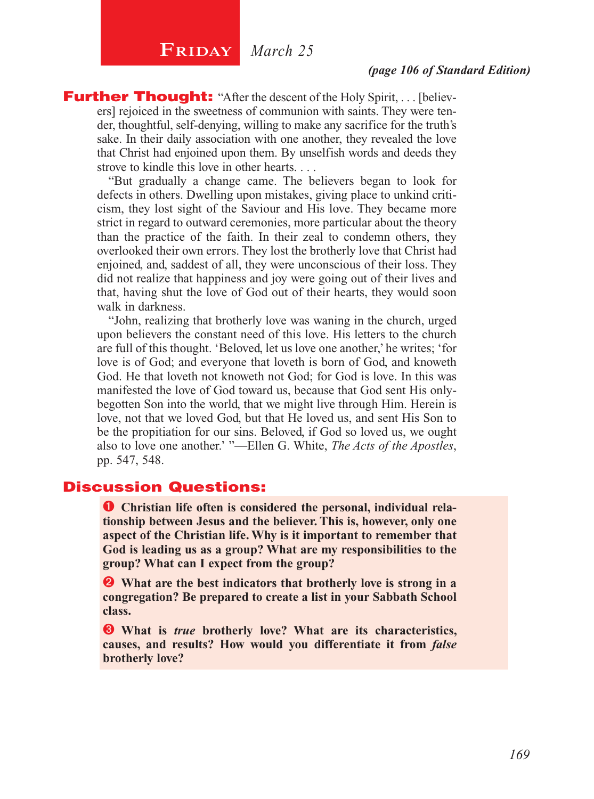## $\begin{array}{|c|c|} \hline \textbf{FRIDAY} & \textit{March 25} \hline \end{array}$

**Further Thought:** "After the descent of the Holy Spirit, . . . [believers] rejoiced in the sweetness of communion with saints. They were tender, thoughtful, self-denying, willing to make any sacrifice for the truth's sake. In their daily association with one another, they revealed the love that Christ had enjoined upon them. By unselfish words and deeds they strove to kindle this love in other hearts. . . .

"But gradually a change came. The believers began to look for defects in others. Dwelling upon mistakes, giving place to unkind criticism, they lost sight of the Saviour and His love. They became more strict in regard to outward ceremonies, more particular about the theory than the practice of the faith. In their zeal to condemn others, they overlooked their own errors. They lost the brotherly love that Christ had enjoined, and, saddest of all, they were unconscious of their loss. They did not realize that happiness and joy were going out of their lives and that, having shut the love of God out of their hearts, they would soon walk in darkness.

"John, realizing that brotherly love was waning in the church, urged upon believers the constant need of this love. His letters to the church are full of this thought. 'Beloved, let us love one another,' he writes; 'for love is of God; and everyone that loveth is born of God, and knoweth God. He that loveth not knoweth not God; for God is love. In this was manifested the love of God toward us, because that God sent His onlybegotten Son into the world, that we might live through Him. Herein is love, not that we loved God, but that He loved us, and sent His Son to be the propitiation for our sins. Beloved, if God so loved us, we ought also to love one another.' "—Ellen G. White, *The Acts of the Apostles*, pp. 547, 548.

### Discussion Questions:

**O** Christian life often is considered the personal, individual rela**tionship between Jesus and the believer. This is, however, only one aspect of the Christian life. Why is it important to remember that God is leading us as a group? What are my responsibilities to the group? What can I expect from the group?**

 **What are the best indicators that brotherly love is strong in a congregation? Be prepared to create a list in your Sabbath School class.** 

 **What is** *true* **brotherly love? What are its characteristics, causes, and results? How would you differentiate it from** *false* **brotherly love?**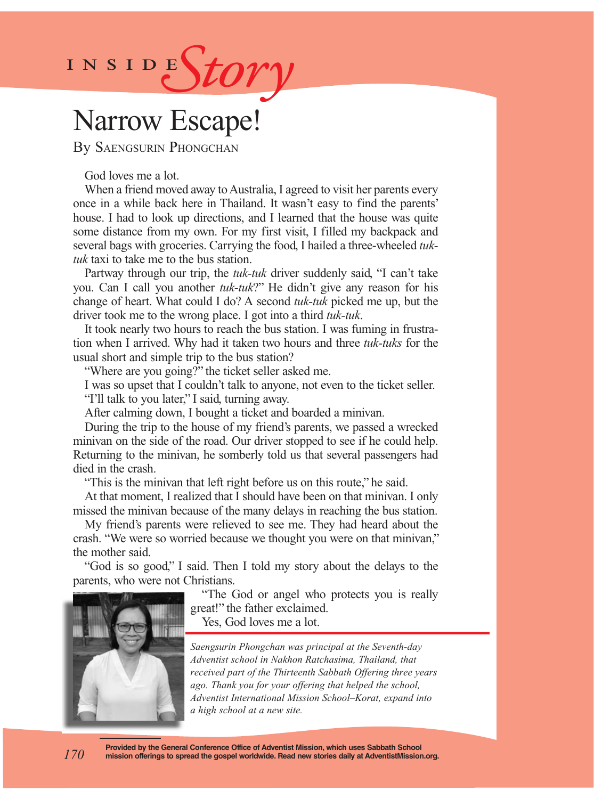

## Narrow Escape!

By Saengsurin Phongchan

God loves me a lot.

When a friend moved away to Australia, I agreed to visit her parents every once in a while back here in Thailand. It wasn't easy to find the parents' house. I had to look up directions, and I learned that the house was quite some distance from my own. For my first visit, I filled my backpack and several bags with groceries. Carrying the food, I hailed a three-wheeled *tuktuk* taxi to take me to the bus station.

Partway through our trip, the *tuk-tuk* driver suddenly said, "I can't take you. Can I call you another *tuk-tuk*?" He didn't give any reason for his change of heart. What could I do? A second *tuk-tuk* picked me up, but the driver took me to the wrong place. I got into a third *tuk-tuk*.

It took nearly two hours to reach the bus station. I was fuming in frustration when I arrived. Why had it taken two hours and three *tuk-tuks* for the usual short and simple trip to the bus station?

"Where are you going?" the ticket seller asked me.

I was so upset that I couldn't talk to anyone, not even to the ticket seller. "I'll talk to you later," I said, turning away.

After calming down, I bought a ticket and boarded a minivan.

During the trip to the house of my friend's parents, we passed a wrecked minivan on the side of the road. Our driver stopped to see if he could help. Returning to the minivan, he somberly told us that several passengers had died in the crash.

"This is the minivan that left right before us on this route," he said.

At that moment, I realized that I should have been on that minivan. I only missed the minivan because of the many delays in reaching the bus station.

My friend's parents were relieved to see me. They had heard about the crash. "We were so worried because we thought you were on that minivan," the mother said.

"God is so good," I said. Then I told my story about the delays to the parents, who were not Christians.



*170*

"The God or angel who protects you is really great!" the father exclaimed. Yes, God loves me a lot.

*Saengsurin Phongchan was principal at the Seventh-day Adventist school in Nakhon Ratchasima, Thailand, that received part of the Thirteenth Sabbath Offering three years ago. Thank you for your offering that helped the school, Adventist International Mission School–Korat, expand into a high school at a new site.*

**Provided by the General Conference Office of Adventist Mission, which uses Sabbath School mission offerings to spread the gospel worldwide. Read new stories daily at AdventistMission.org.**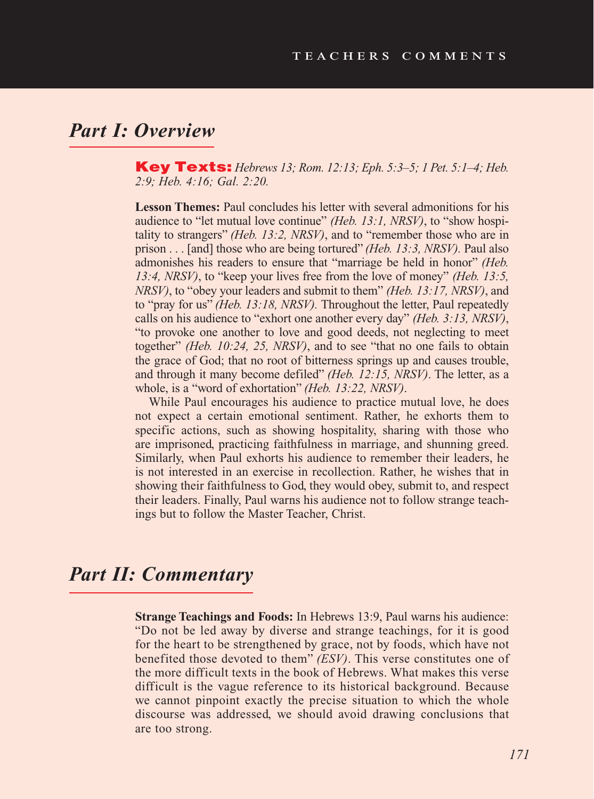## *Part I: Overview*

Key Texts: *Hebrews 13; Rom. 12:13; Eph. 5:3–5; 1 Pet. 5:1–4; Heb. 2:9; Heb. 4:16; Gal. 2:20.*

**Lesson Themes:** Paul concludes his letter with several admonitions for his audience to "let mutual love continue" *(Heb. 13:1, NRSV)*, to "show hospitality to strangers" *(Heb. 13:2, NRSV)*, and to "remember those who are in prison . . . [and] those who are being tortured" *(Heb. 13:3, NRSV).* Paul also admonishes his readers to ensure that "marriage be held in honor" *(Heb. 13:4, NRSV)*, to "keep your lives free from the love of money" *(Heb. 13:5, NRSV)*, to "obey your leaders and submit to them" *(Heb. 13:17, NRSV)*, and to "pray for us" *(Heb. 13:18, NRSV).* Throughout the letter, Paul repeatedly calls on his audience to "exhort one another every day" *(Heb. 3:13, NRSV)*, "to provoke one another to love and good deeds, not neglecting to meet together" *(Heb. 10:24, 25, NRSV)*, and to see "that no one fails to obtain the grace of God; that no root of bitterness springs up and causes trouble, and through it many become defiled" *(Heb. 12:15, NRSV)*. The letter, as a whole, is a "word of exhortation" *(Heb. 13:22, NRSV)*.

While Paul encourages his audience to practice mutual love, he does not expect a certain emotional sentiment. Rather, he exhorts them to specific actions, such as showing hospitality, sharing with those who are imprisoned, practicing faithfulness in marriage, and shunning greed. Similarly, when Paul exhorts his audience to remember their leaders, he is not interested in an exercise in recollection. Rather, he wishes that in showing their faithfulness to God, they would obey, submit to, and respect their leaders. Finally, Paul warns his audience not to follow strange teachings but to follow the Master Teacher, Christ.

## *Part II: Commentary*

**Strange Teachings and Foods:** In Hebrews 13:9, Paul warns his audience: "Do not be led away by diverse and strange teachings, for it is good for the heart to be strengthened by grace, not by foods, which have not benefited those devoted to them" *(ESV)*. This verse constitutes one of the more difficult texts in the book of Hebrews. What makes this verse difficult is the vague reference to its historical background. Because we cannot pinpoint exactly the precise situation to which the whole discourse was addressed, we should avoid drawing conclusions that are too strong.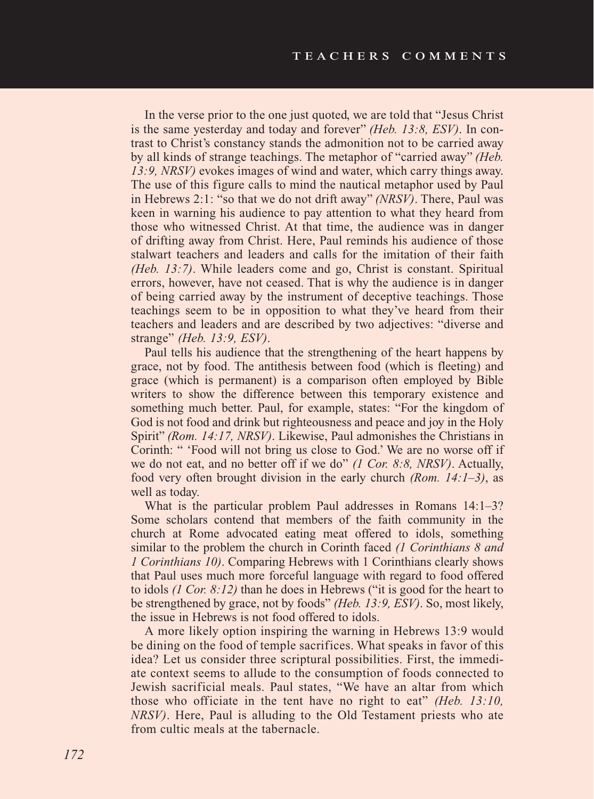In the verse prior to the one just quoted, we are told that "Jesus Christ is the same yesterday and today and forever" *(Heb. 13:8, ESV)*. In contrast to Christ's constancy stands the admonition not to be carried away by all kinds of strange teachings. The metaphor of "carried away" *(Heb. 13:9, NRSV)* evokes images of wind and water, which carry things away. The use of this figure calls to mind the nautical metaphor used by Paul in Hebrews 2:1: "so that we do not drift away" *(NRSV)*. There, Paul was keen in warning his audience to pay attention to what they heard from those who witnessed Christ. At that time, the audience was in danger of drifting away from Christ. Here, Paul reminds his audience of those stalwart teachers and leaders and calls for the imitation of their faith *(Heb. 13:7)*. While leaders come and go, Christ is constant. Spiritual errors, however, have not ceased. That is why the audience is in danger of being carried away by the instrument of deceptive teachings. Those teachings seem to be in opposition to what they've heard from their teachers and leaders and are described by two adjectives: "diverse and strange" *(Heb. 13:9, ESV)*.

Paul tells his audience that the strengthening of the heart happens by grace, not by food. The antithesis between food (which is fleeting) and grace (which is permanent) is a comparison often employed by Bible writers to show the difference between this temporary existence and something much better. Paul, for example, states: "For the kingdom of God is not food and drink but righteousness and peace and joy in the Holy Spirit" *(Rom. 14:17, NRSV)*. Likewise, Paul admonishes the Christians in Corinth: " 'Food will not bring us close to God.' We are no worse off if we do not eat, and no better off if we do" *(1 Cor. 8:8, NRSV)*. Actually, food very often brought division in the early church *(Rom. 14:1–3)*, as well as today.

What is the particular problem Paul addresses in Romans 14:1–3? Some scholars contend that members of the faith community in the church at Rome advocated eating meat offered to idols, something similar to the problem the church in Corinth faced *(1 Corinthians 8 and 1 Corinthians 10)*. Comparing Hebrews with 1 Corinthians clearly shows that Paul uses much more forceful language with regard to food offered to idols *(1 Cor. 8:12)* than he does in Hebrews ("it is good for the heart to be strengthened by grace, not by foods" *(Heb. 13:9, ESV)*. So, most likely, the issue in Hebrews is not food offered to idols.

A more likely option inspiring the warning in Hebrews 13:9 would be dining on the food of temple sacrifices. What speaks in favor of this idea? Let us consider three scriptural possibilities. First, the immediate context seems to allude to the consumption of foods connected to Jewish sacrificial meals. Paul states, "We have an altar from which those who officiate in the tent have no right to eat" *(Heb. 13:10, NRSV)*. Here, Paul is alluding to the Old Testament priests who ate from cultic meals at the tabernacle.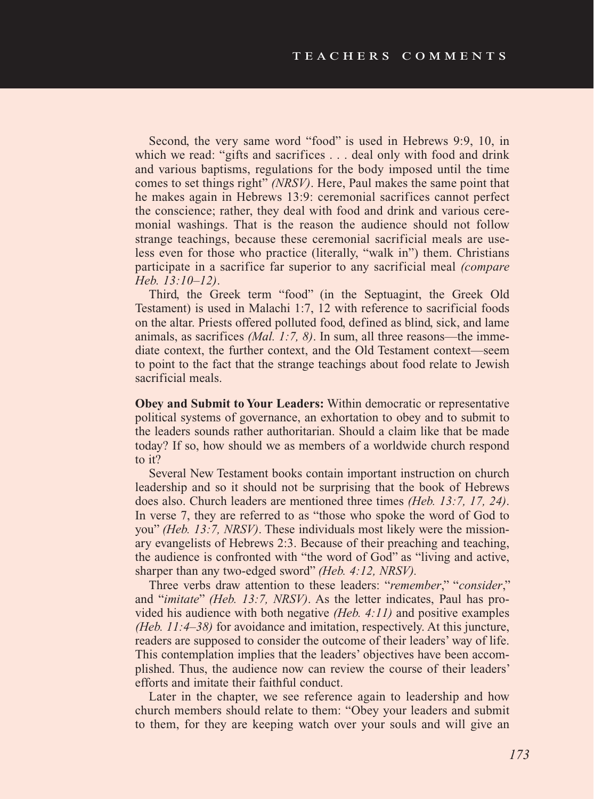Second, the very same word "food" is used in Hebrews 9:9, 10, in which we read: "gifts and sacrifices . . . deal only with food and drink and various baptisms, regulations for the body imposed until the time comes to set things right" *(NRSV)*. Here, Paul makes the same point that he makes again in Hebrews 13:9: ceremonial sacrifices cannot perfect the conscience; rather, they deal with food and drink and various ceremonial washings. That is the reason the audience should not follow strange teachings, because these ceremonial sacrificial meals are useless even for those who practice (literally, "walk in") them. Christians participate in a sacrifice far superior to any sacrificial meal *(compare Heb. 13:10–12)*.

Third, the Greek term "food" (in the Septuagint, the Greek Old Testament) is used in Malachi 1:7, 12 with reference to sacrificial foods on the altar. Priests offered polluted food, defined as blind, sick, and lame animals, as sacrifices *(Mal. 1:7, 8)*. In sum, all three reasons—the immediate context, the further context, and the Old Testament context—seem to point to the fact that the strange teachings about food relate to Jewish sacrificial meals.

**Obey and Submit to Your Leaders:** Within democratic or representative political systems of governance, an exhortation to obey and to submit to the leaders sounds rather authoritarian. Should a claim like that be made today? If so, how should we as members of a worldwide church respond to it?

Several New Testament books contain important instruction on church leadership and so it should not be surprising that the book of Hebrews does also. Church leaders are mentioned three times *(Heb. 13:7, 17, 24)*. In verse 7, they are referred to as "those who spoke the word of God to you" *(Heb. 13:7, NRSV)*. These individuals most likely were the missionary evangelists of Hebrews 2:3. Because of their preaching and teaching, the audience is confronted with "the word of God" as "living and active, sharper than any two-edged sword" *(Heb. 4:12, NRSV).* 

Three verbs draw attention to these leaders: "*remember*," "*consider*," and "*imitate*" *(Heb. 13:7, NRSV)*. As the letter indicates, Paul has provided his audience with both negative *(Heb. 4:11)* and positive examples *(Heb. 11:4–38)* for avoidance and imitation, respectively. At this juncture, readers are supposed to consider the outcome of their leaders' way of life. This contemplation implies that the leaders' objectives have been accomplished. Thus, the audience now can review the course of their leaders' efforts and imitate their faithful conduct.

Later in the chapter, we see reference again to leadership and how church members should relate to them: "Obey your leaders and submit to them, for they are keeping watch over your souls and will give an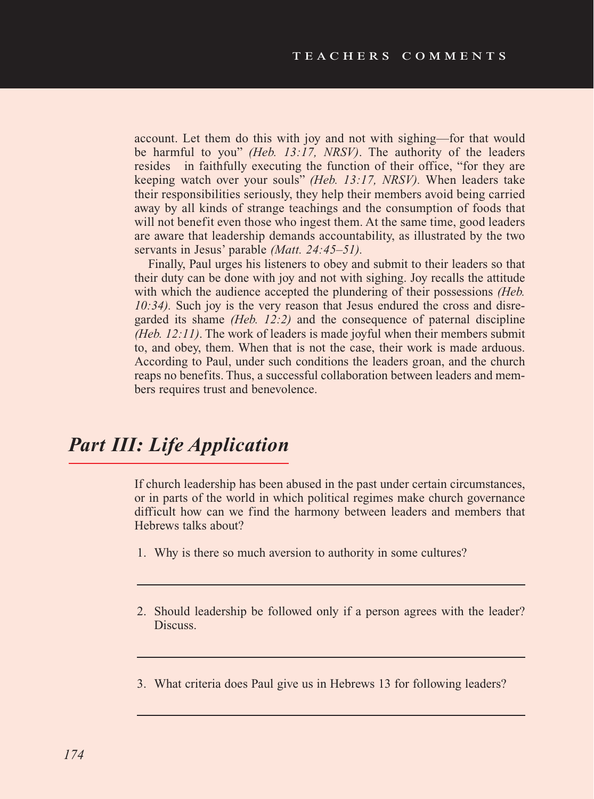account. Let them do this with joy and not with sighing—for that would be harmful to you" *(Heb. 13:17, NRSV)*. The authority of the leaders resides in faithfully executing the function of their office, "for they are keeping watch over your souls" *(Heb. 13:17, NRSV).* When leaders take their responsibilities seriously, they help their members avoid being carried away by all kinds of strange teachings and the consumption of foods that will not benefit even those who ingest them. At the same time, good leaders are aware that leadership demands accountability, as illustrated by the two servants in Jesus' parable *(Matt. 24:45–51).* 

Finally, Paul urges his listeners to obey and submit to their leaders so that their duty can be done with joy and not with sighing. Joy recalls the attitude with which the audience accepted the plundering of their possessions *(Heb. 10:34).* Such joy is the very reason that Jesus endured the cross and disregarded its shame *(Heb. 12:2)* and the consequence of paternal discipline *(Heb. 12:11)*. The work of leaders is made joyful when their members submit to, and obey, them. When that is not the case, their work is made arduous. According to Paul, under such conditions the leaders groan, and the church reaps no benefits. Thus, a successful collaboration between leaders and members requires trust and benevolence.

## *Part III: Life Application*

If church leadership has been abused in the past under certain circumstances, or in parts of the world in which political regimes make church governance difficult how can we find the harmony between leaders and members that Hebrews talks about?

- 1. Why is there so much aversion to authority in some cultures?
- 2. Should leadership be followed only if a person agrees with the leader? Discuss.
- 3. What criteria does Paul give us in Hebrews 13 for following leaders?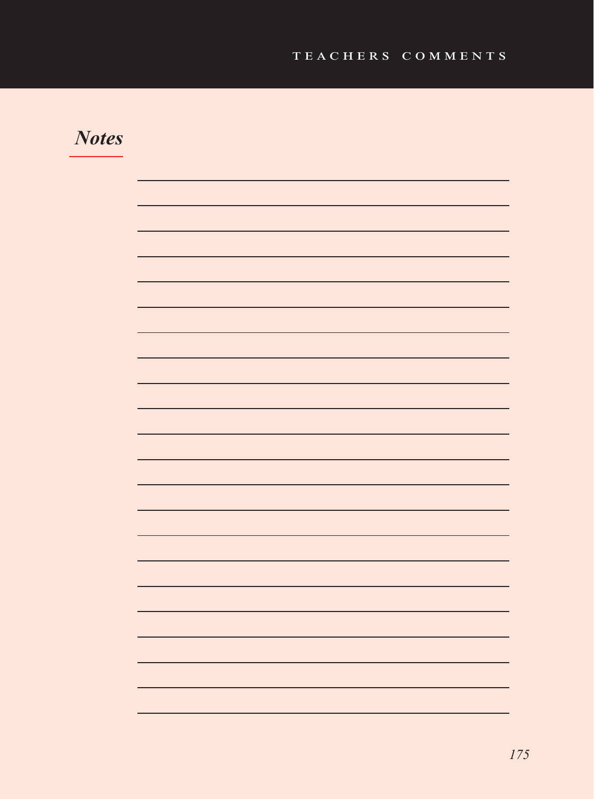